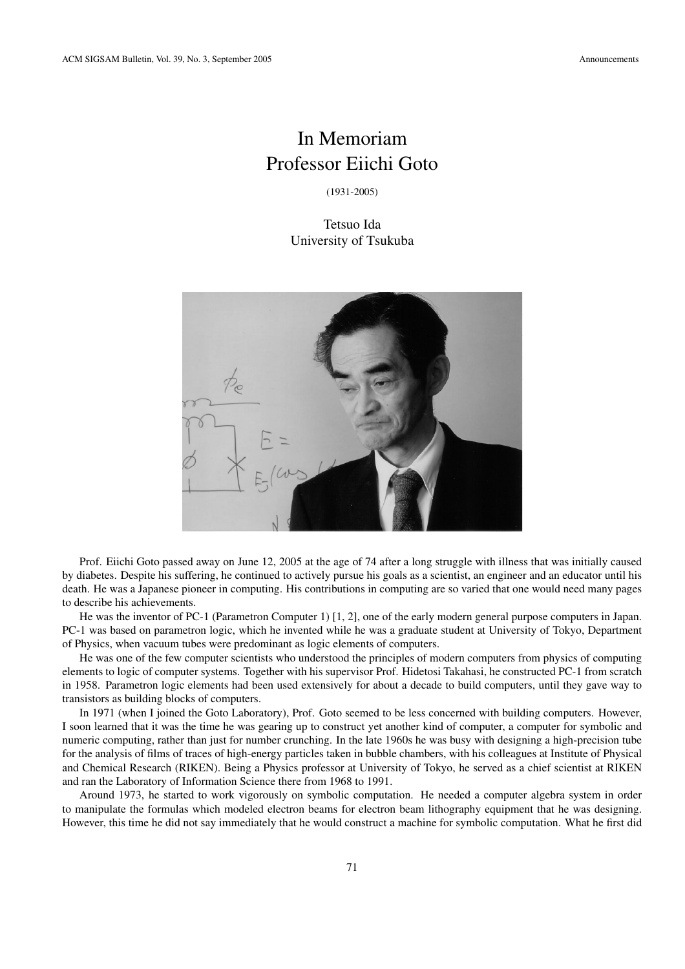## In Memoriam Professor Eiichi Goto

(1931-2005)

Tetsuo Ida University of Tsukuba



Prof. Eiichi Goto passed away on June 12, 2005 at the age of 74 after a long struggle with illness that was initially caused by diabetes. Despite his suffering, he continued to actively pursue his goals as a scientist, an engineer and an educator until his death. He was a Japanese pioneer in computing. His contributions in computing are so varied that one would need many pages to describe his achievements.

He was the inventor of PC-1 (Parametron Computer 1) [1, 2], one of the early modern general purpose computers in Japan. PC-1 was based on parametron logic, which he invented while he was a graduate student at University of Tokyo, Department of Physics, when vacuum tubes were predominant as logic elements of computers.

He was one of the few computer scientists who understood the principles of modern computers from physics of computing elements to logic of computer systems. Together with his supervisor Prof. Hidetosi Takahasi, he constructed PC-1 from scratch in 1958. Parametron logic elements had been used extensively for about a decade to build computers, until they gave way to transistors as building blocks of computers.

In 1971 (when I joined the Goto Laboratory), Prof. Goto seemed to be less concerned with building computers. However, I soon learned that it was the time he was gearing up to construct yet another kind of computer, a computer for symbolic and numeric computing, rather than just for number crunching. In the late 1960s he was busy with designing a high-precision tube for the analysis of films of traces of high-energy particles taken in bubble chambers, with his colleagues at Institute of Physical and Chemical Research (RIKEN). Being a Physics professor at University of Tokyo, he served as a chief scientist at RIKEN and ran the Laboratory of Information Science there from 1968 to 1991.

Around 1973, he started to work vigorously on symbolic computation. He needed a computer algebra system in order to manipulate the formulas which modeled electron beams for electron beam lithography equipment that he was designing. However, this time he did not say immediately that he would construct a machine for symbolic computation. What he first did